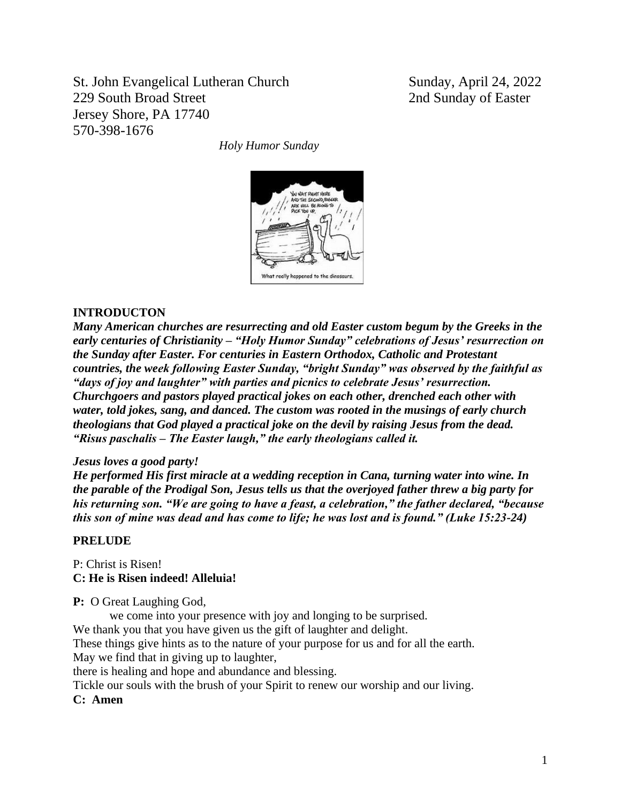St. John Evangelical Lutheran Church Sunday, April 24, 2022 229 South Broad Street 2nd Sunday of Easter Jersey Shore, PA 17740 570-398-1676

*Holy Humor Sunday*



### **INTRODUCTON**

*Many American churches are resurrecting and old Easter custom begum by the Greeks in the early centuries of Christianity – "Holy Humor Sunday" celebrations of Jesus' resurrection on the Sunday after Easter. For centuries in Eastern Orthodox, Catholic and Protestant countries, the week following Easter Sunday, "bright Sunday" was observed by the faithful as "days of joy and laughter" with parties and picnics to celebrate Jesus' resurrection. Churchgoers and pastors played practical jokes on each other, drenched each other with water, told jokes, sang, and danced. The custom was rooted in the musings of early church theologians that God played a practical joke on the devil by raising Jesus from the dead. "Risus paschalis – The Easter laugh," the early theologians called it.*

### *Jesus loves a good party!*

*He performed His first miracle at a wedding reception in Cana, turning water into wine. In the parable of the Prodigal Son, Jesus tells us that the overjoyed father threw a big party for his returning son. "We are going to have a feast, a celebration," the father declared, "because this son of mine was dead and has come to life; he was lost and is found." (Luke 15:23-24)*

### **PRELUDE**

P: Christ is Risen! **C: He is Risen indeed! Alleluia!**

**P:** O Great Laughing God,

we come into your presence with joy and longing to be surprised.

We thank you that you have given us the gift of laughter and delight.

These things give hints as to the nature of your purpose for us and for all the earth.

May we find that in giving up to laughter,

there is healing and hope and abundance and blessing.

Tickle our souls with the brush of your Spirit to renew our worship and our living.

**C: Amen**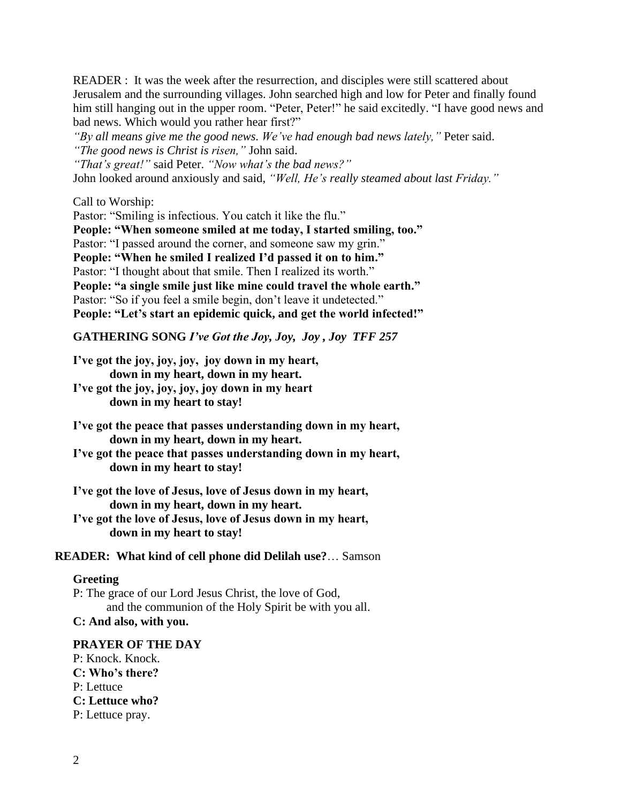READER : It was the week after the resurrection, and disciples were still scattered about Jerusalem and the surrounding villages. John searched high and low for Peter and finally found him still hanging out in the upper room. "Peter, Peter!" he said excitedly. "I have good news and bad news. Which would you rather hear first?"

*"By all means give me the good news. We've had enough bad news lately,"* Peter said. *"The good news is Christ is risen,"* John said.

*"That's great!"* said Peter. *"Now what's the bad news?"*

John looked around anxiously and said, *"Well, He's really steamed about last Friday."*

Call to Worship:

Pastor: "Smiling is infectious. You catch it like the flu." **People: "When someone smiled at me today, I started smiling, too."** Pastor: "I passed around the corner, and someone saw my grin." **People: "When he smiled I realized I'd passed it on to him."** Pastor: "I thought about that smile. Then I realized its worth." **People: "a single smile just like mine could travel the whole earth."** Pastor: "So if you feel a smile begin, don't leave it undetected." **People: "Let's start an epidemic quick, and get the world infected!"**

**GATHERING SONG** *I've Got the Joy, Joy, Joy , Joy TFF 257*

**I've got the joy, joy, joy, joy down in my heart, down in my heart, down in my heart.**

**I've got the joy, joy, joy, joy down in my heart down in my heart to stay!**

**I've got the peace that passes understanding down in my heart, down in my heart, down in my heart.**

**I've got the peace that passes understanding down in my heart, down in my heart to stay!**

**I've got the love of Jesus, love of Jesus down in my heart, down in my heart, down in my heart.**

**I've got the love of Jesus, love of Jesus down in my heart, down in my heart to stay!**

**READER: What kind of cell phone did Delilah use?**… Samson

### **Greeting**

P: The grace of our Lord Jesus Christ, the love of God, and the communion of the Holy Spirit be with you all. **C: And also, with you.**

### **PRAYER OF THE DAY**

P: Knock. Knock. **C: Who's there?** P: Lettuce **C: Lettuce who?** P: Lettuce pray.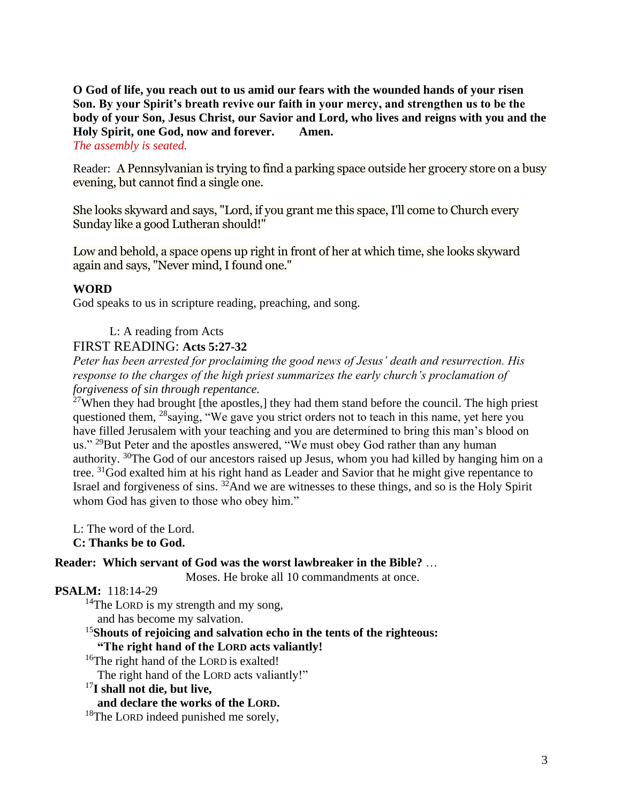# **O God of life, you reach out to us amid our fears with the wounded hands of your risen Son. By your Spirit's breath revive our faith in your mercy, and strengthen us to be the body of your Son, Jesus Christ, our Savior and Lord, who lives and reigns with you and the Holy Spirit, one God, now and forever. Amen.**

## *The assembly is seated.*

Reader: A Pennsylvanian is trying to find a parking space outside her grocery store on a busy evening, but cannot find a single one.

She looks skyward and says, "Lord, if you grant me this space, I'll come to Church every Sunday like a good Lutheran should!"

Low and behold, a space opens up right in front of her at which time, she looks skyward again and says, "Never mind, I found one."

### **WORD**

God speaks to us in scripture reading, preaching, and song.

# L: A reading from Acts

## FIRST READING: **Acts 5:27-32**

*Peter has been arrested for proclaiming the good news of Jesus' death and resurrection. His response to the charges of the high priest summarizes the early church's proclamation of forgiveness of sin through repentance.*

 $^{27}$ When they had brought [the apostles,] they had them stand before the council. The high priest questioned them, <sup>28</sup>saying, "We gave you strict orders not to teach in this name, yet here you have filled Jerusalem with your teaching and you are determined to bring this man's blood on us." <sup>29</sup>But Peter and the apostles answered, "We must obey God rather than any human authority. <sup>30</sup>The God of our ancestors raised up Jesus, whom you had killed by hanging him on a tree. <sup>31</sup>God exalted him at his right hand as Leader and Savior that he might give repentance to Israel and forgiveness of sins. <sup>32</sup>And we are witnesses to these things, and so is the Holy Spirit whom God has given to those who obey him."

L: The word of the Lord. **C: Thanks be to God.**

### **Reader: Which servant of God was the worst lawbreaker in the Bible?** …

Moses. He broke all 10 commandments at once.

## **PSALM:** 118:14-29

 $14$ The LORD is my strength and my song,

and has become my salvation.

## <sup>15</sup>**Shouts of rejoicing and salvation echo in the tents of the righteous: "The right hand of the LORD acts valiantly!**

<sup>16</sup>The right hand of the LORD is exalted!

The right hand of the LORD acts valiantly!"

### <sup>17</sup>**I shall not die, but live,**

# **and declare the works of the LORD.**

<sup>18</sup>The LORD indeed punished me sorely,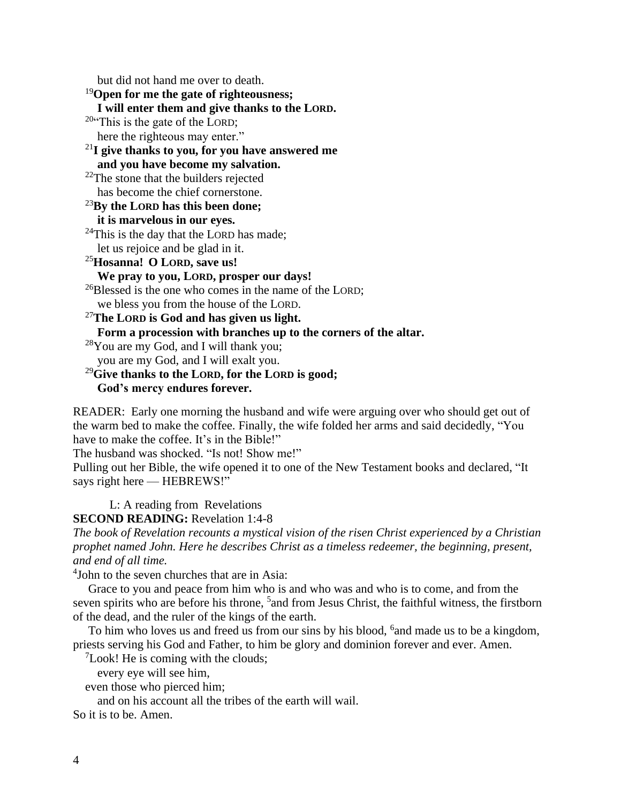but did not hand me over to death.

<sup>19</sup>**Open for me the gate of righteousness; I will enter them and give thanks to the LORD.**  $20$ "This is the gate of the LORD; here the righteous may enter." <sup>21</sup>**I give thanks to you, for you have answered me and you have become my salvation.**  $22$ The stone that the builders rejected has become the chief cornerstone. <sup>23</sup>**By the LORD has this been done; it is marvelous in our eyes.**  $^{24}$ This is the day that the LORD has made; let us rejoice and be glad in it. <sup>25</sup>**Hosanna! O LORD, save us! We pray to you, LORD, prosper our days!** <sup>26</sup>Blessed is the one who comes in the name of the LORD; we bless you from the house of the LORD. <sup>27</sup>**The LORD is God and has given us light. Form a procession with branches up to the corners of the altar.**  $28$ You are my God, and I will thank you; you are my God, and I will exalt you. <sup>29</sup>**Give thanks to the LORD, for the LORD is good; God's mercy endures forever.**

READER: Early one morning the husband and wife were arguing over who should get out of the warm bed to make the coffee. Finally, the wife folded her arms and said decidedly, "You have to make the coffee. It's in the Bible!"

The husband was shocked. "Is not! Show me!"

Pulling out her Bible, the wife opened it to one of the New Testament books and declared, "It says right here — HEBREWS!"

L: A reading from Revelations

**SECOND READING:** Revelation 1:4-8

*The book of Revelation recounts a mystical vision of the risen Christ experienced by a Christian prophet named John. Here he describes Christ as a timeless redeemer, the beginning, present, and end of all time.*

4 John to the seven churches that are in Asia:

Grace to you and peace from him who is and who was and who is to come, and from the seven spirits who are before his throne, <sup>5</sup> and from Jesus Christ, the faithful witness, the firstborn of the dead, and the ruler of the kings of the earth.

To him who loves us and freed us from our sins by his blood, <sup>6</sup> and made us to be a kingdom, priests serving his God and Father, to him be glory and dominion forever and ever. Amen.

 $\mathrm{7}$ Look! He is coming with the clouds;

every eye will see him,

even those who pierced him;

and on his account all the tribes of the earth will wail.

So it is to be. Amen.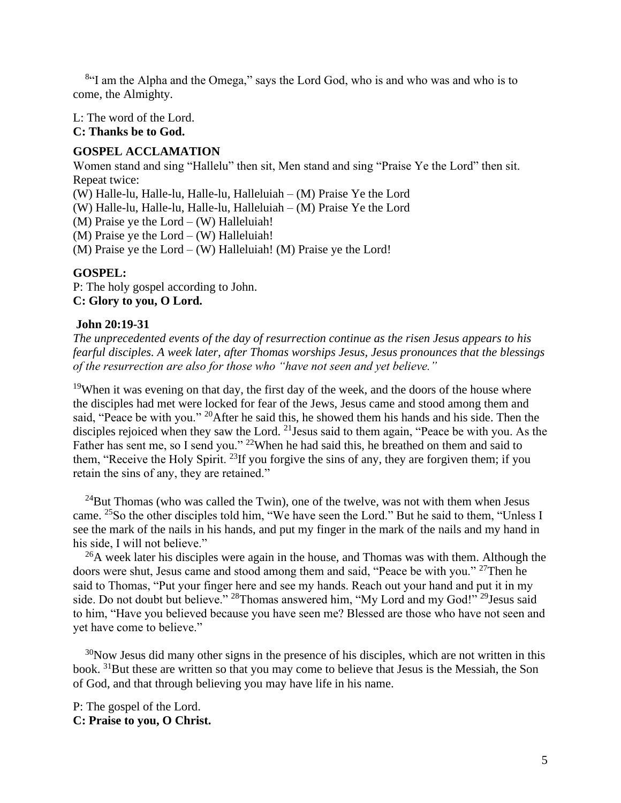<sup>8</sup>"I am the Alpha and the Omega," says the Lord God, who is and who was and who is to come, the Almighty.

L: The word of the Lord.

**C: Thanks be to God.**

# **GOSPEL ACCLAMATION**

Women stand and sing "Hallelu" then sit, Men stand and sing "Praise Ye the Lord" then sit. Repeat twice:

(W) Halle-lu, Halle-lu, Halle-lu, Halleluiah – (M) Praise Ye the Lord

(W) Halle-lu, Halle-lu, Halle-lu, Halleluiah – (M) Praise Ye the Lord

(M) Praise ye the  $Lord - (W)$  Halleluiah!

(M) Praise ye the  $Lord - (W)$  Halleluiah!

(M) Praise ye the  $Lord - (W)$  Halleluiah! (M) Praise ye the Lord!

### **GOSPEL:**

P: The holy gospel according to John. **C: Glory to you, O Lord.**

## **John 20:19-31**

*The unprecedented events of the day of resurrection continue as the risen Jesus appears to his fearful disciples. A week later, after Thomas worships Jesus, Jesus pronounces that the blessings of the resurrection are also for those who "have not seen and yet believe."*

<sup>19</sup>When it was evening on that day, the first day of the week, and the doors of the house where the disciples had met were locked for fear of the Jews, Jesus came and stood among them and said, "Peace be with you." <sup>20</sup>After he said this, he showed them his hands and his side. Then the disciples rejoiced when they saw the Lord. <sup>21</sup> Jesus said to them again, "Peace be with you. As the Father has sent me, so I send you." <sup>22</sup>When he had said this, he breathed on them and said to them, "Receive the Holy Spirit.<sup>23</sup>If you forgive the sins of any, they are forgiven them; if you retain the sins of any, they are retained."

 $^{24}$ But Thomas (who was called the Twin), one of the twelve, was not with them when Jesus came. <sup>25</sup>So the other disciples told him, "We have seen the Lord." But he said to them, "Unless I see the mark of the nails in his hands, and put my finger in the mark of the nails and my hand in his side, I will not believe."

 $^{26}$ A week later his disciples were again in the house, and Thomas was with them. Although the doors were shut, Jesus came and stood among them and said, "Peace be with you." <sup>27</sup>Then he said to Thomas, "Put your finger here and see my hands. Reach out your hand and put it in my side. Do not doubt but believe." <sup>28</sup>Thomas answered him, "My Lord and my God!"<sup>29</sup>Jesus said to him, "Have you believed because you have seen me? Blessed are those who have not seen and yet have come to believe."

 $30$ Now Jesus did many other signs in the presence of his disciples, which are not written in this book. <sup>31</sup>But these are written so that you may come to believe that Jesus is the Messiah, the Son of God, and that through believing you may have life in his name.

P: The gospel of the Lord. **C: Praise to you, O Christ.**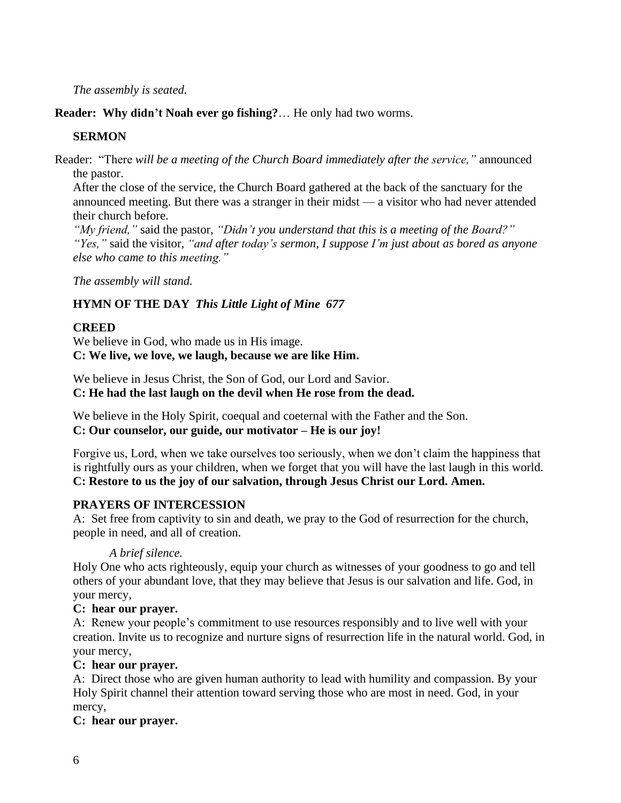*The assembly is seated.* 

**Reader: Why didn't Noah ever go fishing?**… He only had two worms.

# **SERMON**

Reader: "There *will be a meeting of the Church Board immediately after the service,"* announced the pastor.

After the close of the service, the Church Board gathered at the back of the sanctuary for the announced meeting. But there was a stranger in their midst — a visitor who had never attended their church before.

*"My friend,"* said the pastor, *"Didn't you understand that this is a meeting of the Board?" "Yes,"* said the visitor, *"and after today's sermon, I suppose I'm just about as bored as anyone else who came to this meeting."*

*The assembly will stand.*

# **HYMN OF THE DAY** *This Little Light of Mine 677*

# **CREED**

We believe in God, who made us in His image. **C: We live, we love, we laugh, because we are like Him.**

We believe in Jesus Christ, the Son of God, our Lord and Savior. **C: He had the last laugh on the devil when He rose from the dead.**

We believe in the Holy Spirit, coequal and coeternal with the Father and the Son. **C: Our counselor, our guide, our motivator – He is our joy!**

Forgive us, Lord, when we take ourselves too seriously, when we don't claim the happiness that is rightfully ours as your children, when we forget that you will have the last laugh in this world. **C: Restore to us the joy of our salvation, through Jesus Christ our Lord. Amen.**

# **PRAYERS OF INTERCESSION**

A: Set free from captivity to sin and death, we pray to the God of resurrection for the church, people in need, and all of creation.

*A brief silence.*

Holy One who acts righteously, equip your church as witnesses of your goodness to go and tell others of your abundant love, that they may believe that Jesus is our salvation and life. God, in your mercy,

# **C: hear our prayer.**

A: Renew your people's commitment to use resources responsibly and to live well with your creation. Invite us to recognize and nurture signs of resurrection life in the natural world. God, in your mercy,

# **C: hear our prayer.**

A: Direct those who are given human authority to lead with humility and compassion. By your Holy Spirit channel their attention toward serving those who are most in need. God, in your mercy,

# **C: hear our prayer.**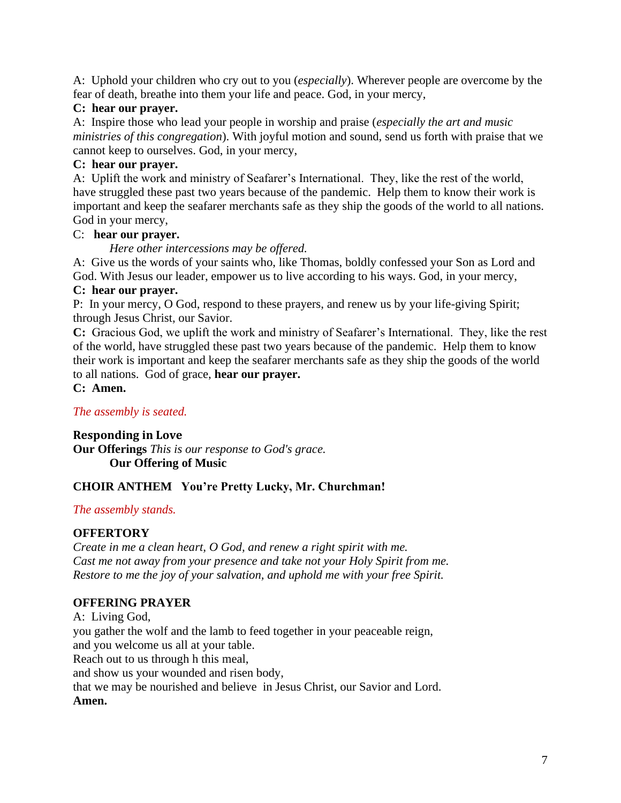A: Uphold your children who cry out to you (*especially*). Wherever people are overcome by the fear of death, breathe into them your life and peace. God, in your mercy,

# **C: hear our prayer.**

A: Inspire those who lead your people in worship and praise (*especially the art and music ministries of this congregation*). With joyful motion and sound, send us forth with praise that we cannot keep to ourselves. God, in your mercy,

# **C: hear our prayer.**

A: Uplift the work and ministry of Seafarer's International. They, like the rest of the world, have struggled these past two years because of the pandemic. Help them to know their work is important and keep the seafarer merchants safe as they ship the goods of the world to all nations. God in your mercy,

# C: **hear our prayer.**

*Here other intercessions may be offered.*

A: Give us the words of your saints who, like Thomas, boldly confessed your Son as Lord and God. With Jesus our leader, empower us to live according to his ways. God, in your mercy, **C: hear our prayer.**

P: In your mercy, O God, respond to these prayers, and renew us by your life-giving Spirit; through Jesus Christ, our Savior.

**C:** Gracious God, we uplift the work and ministry of Seafarer's International. They, like the rest of the world, have struggled these past two years because of the pandemic. Help them to know their work is important and keep the seafarer merchants safe as they ship the goods of the world to all nations. God of grace, **hear our prayer.**

**C: Amen.**

# *The assembly is seated.*

**Responding in Love Our Offerings** *This is our response to God's grace.*

**Our Offering of Music** 

# **CHOIR ANTHEM You're Pretty Lucky, Mr. Churchman!**

# *The assembly stands.*

# **OFFERTORY**

*Create in me a clean heart, O God, and renew a right spirit with me. Cast me not away from your presence and take not your Holy Spirit from me. Restore to me the joy of your salvation, and uphold me with your free Spirit.*

# **OFFERING PRAYER**

A: Living God, you gather the wolf and the lamb to feed together in your peaceable reign, and you welcome us all at your table. Reach out to us through h this meal, and show us your wounded and risen body, that we may be nourished and believe in Jesus Christ, our Savior and Lord.

**Amen.**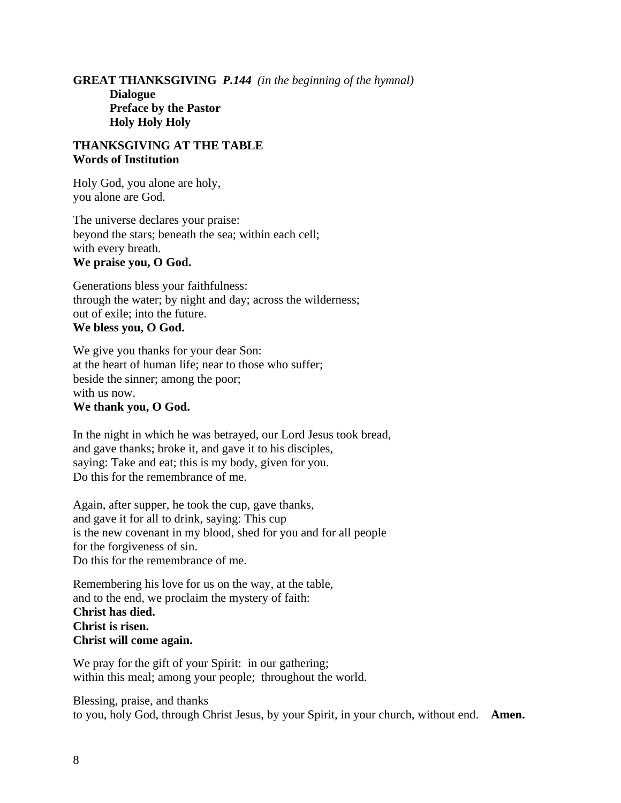**GREAT THANKSGIVING** *P.144 (in the beginning of the hymnal)* **Dialogue Preface by the Pastor Holy Holy Holy**

### **THANKSGIVING AT THE TABLE Words of Institution**

Holy God, you alone are holy, you alone are God.

The universe declares your praise: beyond the stars; beneath the sea; within each cell; with every breath. **We praise you, O God.**

Generations bless your faithfulness: through the water; by night and day; across the wilderness; out of exile; into the future. **We bless you, O God.**

We give you thanks for your dear Son: at the heart of human life; near to those who suffer; beside the sinner; among the poor; with us now. **We thank you, O God.**

In the night in which he was betrayed, our Lord Jesus took bread, and gave thanks; broke it, and gave it to his disciples, saying: Take and eat; this is my body, given for you. Do this for the remembrance of me.

Again, after supper, he took the cup, gave thanks, and gave it for all to drink, saying: This cup is the new covenant in my blood, shed for you and for all people for the forgiveness of sin. Do this for the remembrance of me.

Remembering his love for us on the way, at the table, and to the end, we proclaim the mystery of faith: **Christ has died. Christ is risen. Christ will come again.**

We pray for the gift of your Spirit: in our gathering; within this meal; among your people; throughout the world.

Blessing, praise, and thanks to you, holy God, through Christ Jesus, by your Spirit, in your church, without end. **Amen.**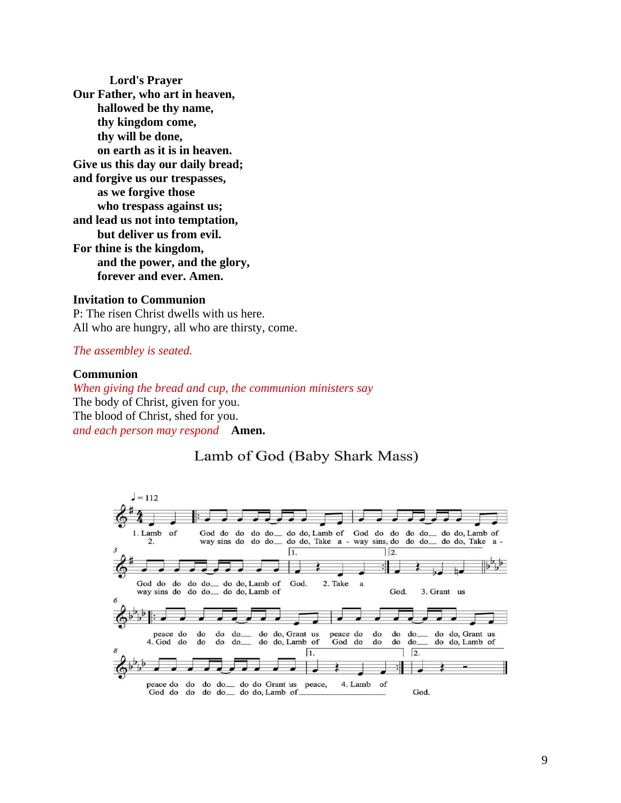**Lord's Prayer Our Father, who art in heaven, hallowed be thy name, thy kingdom come, thy will be done, on earth as it is in heaven. Give us this day our daily bread; and forgive us our trespasses, as we forgive those who trespass against us; and lead us not into temptation, but deliver us from evil. For thine is the kingdom, and the power, and the glory, forever and ever. Amen.**

#### **Invitation to Communion**

P: The risen Christ dwells with us here. All who are hungry, all who are thirsty, come.

#### *The assembley is seated.*

#### **Communion**

*When giving the bread and cup, the communion ministers say* The body of Christ, given for you. The blood of Christ, shed for you. *and each person may respond* **Amen.**

# Lamb of God (Baby Shark Mass)

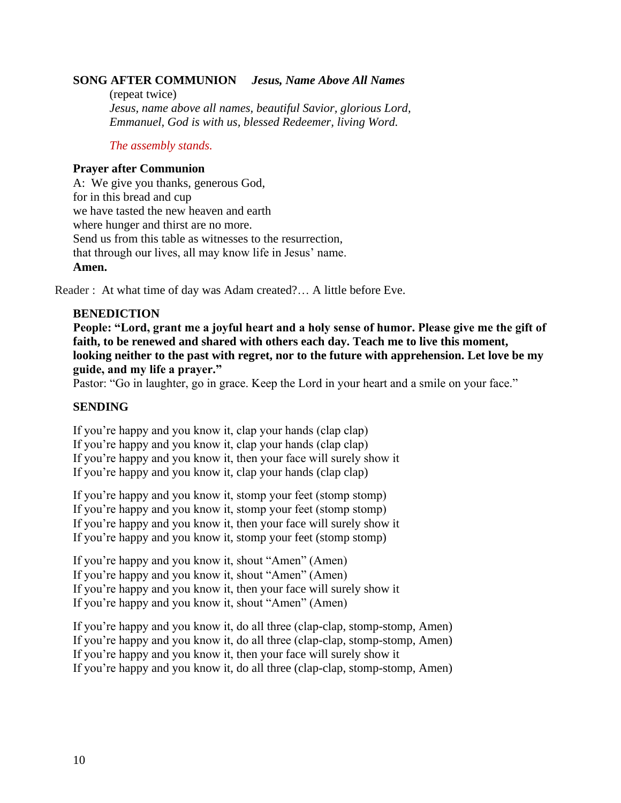## **SONG AFTER COMMUNION** *Jesus, Name Above All Names*

(repeat twice) *Jesus, name above all names, beautiful Savior, glorious Lord, Emmanuel, God is with us, blessed Redeemer, living Word.*

#### *The assembly stands.*

#### **Prayer after Communion**

A: We give you thanks, generous God, for in this bread and cup we have tasted the new heaven and earth where hunger and thirst are no more. Send us from this table as witnesses to the resurrection, that through our lives, all may know life in Jesus' name. **Amen.**

Reader : At what time of day was Adam created?… A little before Eve.

### **BENEDICTION**

**People: "Lord, grant me a joyful heart and a holy sense of humor. Please give me the gift of faith, to be renewed and shared with others each day. Teach me to live this moment, looking neither to the past with regret, nor to the future with apprehension. Let love be my guide, and my life a prayer."**

Pastor: "Go in laughter, go in grace. Keep the Lord in your heart and a smile on your face."

## **SENDING**

If you're happy and you know it, clap your hands (clap clap) If you're happy and you know it, clap your hands (clap clap) If you're happy and you know it, then your face will surely show it If you're happy and you know it, clap your hands (clap clap)

If you're happy and you know it, stomp your feet (stomp stomp) If you're happy and you know it, stomp your feet (stomp stomp) If you're happy and you know it, then your face will surely show it If you're happy and you know it, stomp your feet (stomp stomp)

If you're happy and you know it, shout "Amen" (Amen) If you're happy and you know it, shout "Amen" (Amen) If you're happy and you know it, then your face will surely show it If you're happy and you know it, shout "Amen" (Amen)

If you're happy and you know it, do all three (clap-clap, stomp-stomp, Amen) If you're happy and you know it, do all three (clap-clap, stomp-stomp, Amen) If you're happy and you know it, then your face will surely show it If you're happy and you know it, do all three (clap-clap, stomp-stomp, Amen)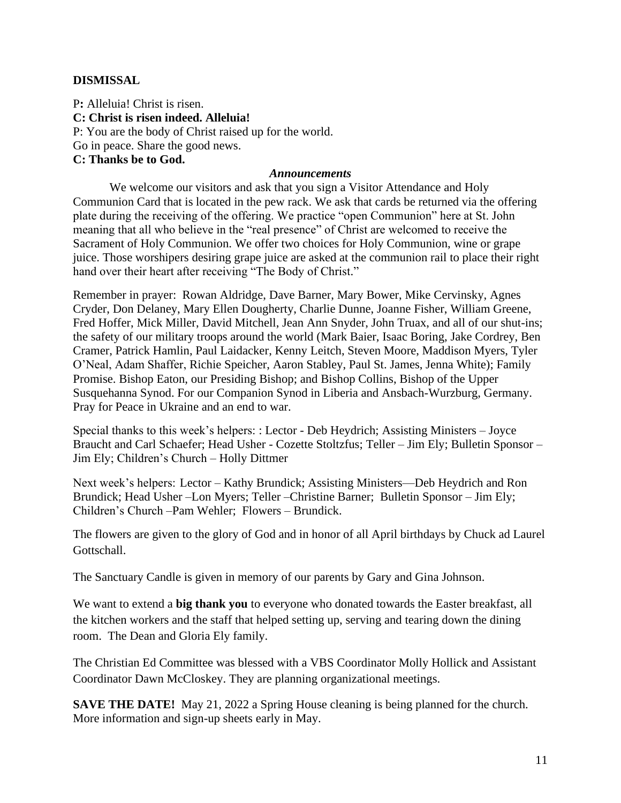### **DISMISSAL**

P**:** Alleluia! Christ is risen. **C: Christ is risen indeed. Alleluia!** P: You are the body of Christ raised up for the world. Go in peace. Share the good news. **C: Thanks be to God.**

#### *Announcements*

We welcome our visitors and ask that you sign a Visitor Attendance and Holy Communion Card that is located in the pew rack. We ask that cards be returned via the offering plate during the receiving of the offering. We practice "open Communion" here at St. John meaning that all who believe in the "real presence" of Christ are welcomed to receive the Sacrament of Holy Communion. We offer two choices for Holy Communion, wine or grape juice. Those worshipers desiring grape juice are asked at the communion rail to place their right hand over their heart after receiving "The Body of Christ."

Remember in prayer: Rowan Aldridge, Dave Barner, Mary Bower, Mike Cervinsky, Agnes Cryder, Don Delaney, Mary Ellen Dougherty, Charlie Dunne, Joanne Fisher, William Greene, Fred Hoffer, Mick Miller, David Mitchell, Jean Ann Snyder, John Truax, and all of our shut-ins; the safety of our military troops around the world (Mark Baier, Isaac Boring, Jake Cordrey, Ben Cramer, Patrick Hamlin, Paul Laidacker, Kenny Leitch, Steven Moore, Maddison Myers, Tyler O'Neal, Adam Shaffer, Richie Speicher, Aaron Stabley, Paul St. James, Jenna White); Family Promise. Bishop Eaton, our Presiding Bishop; and Bishop Collins, Bishop of the Upper Susquehanna Synod. For our Companion Synod in Liberia and Ansbach-Wurzburg, Germany. Pray for Peace in Ukraine and an end to war.

Special thanks to this week's helpers: : Lector - Deb Heydrich; Assisting Ministers – Joyce Braucht and Carl Schaefer; Head Usher - Cozette Stoltzfus; Teller – Jim Ely; Bulletin Sponsor – Jim Ely; Children's Church – Holly Dittmer

Next week's helpers: Lector – Kathy Brundick; Assisting Ministers—Deb Heydrich and Ron Brundick; Head Usher –Lon Myers; Teller –Christine Barner; Bulletin Sponsor – Jim Ely; Children's Church –Pam Wehler; Flowers – Brundick.

The flowers are given to the glory of God and in honor of all April birthdays by Chuck ad Laurel Gottschall.

The Sanctuary Candle is given in memory of our parents by Gary and Gina Johnson.

We want to extend a **big thank you** to everyone who donated towards the Easter breakfast, all the kitchen workers and the staff that helped setting up, serving and tearing down the dining room. The Dean and Gloria Ely family.

The Christian Ed Committee was blessed with a VBS Coordinator Molly Hollick and Assistant Coordinator Dawn McCloskey. They are planning organizational meetings.

**SAVE THE DATE!** May 21, 2022 a Spring House cleaning is being planned for the church. More information and sign-up sheets early in May.